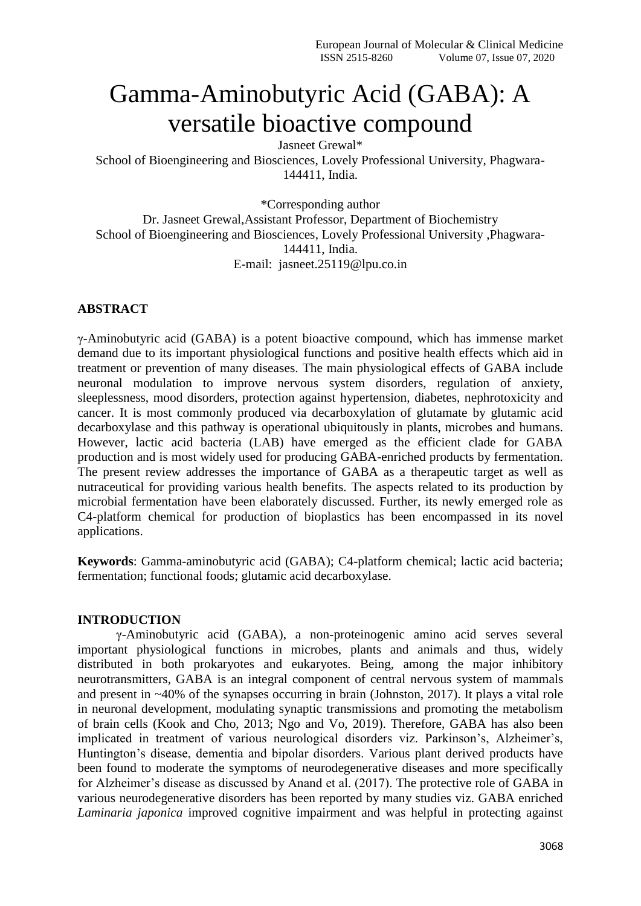# Gamma-Aminobutyric Acid (GABA): A versatile bioactive compound

Jasneet Grewal\*

School of Bioengineering and Biosciences, Lovely Professional University, Phagwara-144411, India.

\*Corresponding author

Dr. Jasneet Grewal,Assistant Professor, Department of Biochemistry School of Bioengineering and Biosciences, Lovely Professional University ,Phagwara-144411, India. E-mail: jasneet.25119@lpu.co.in

# **ABSTRACT**

γ-Aminobutyric acid (GABA) is a potent bioactive compound, which has immense market demand due to its important physiological functions and positive health effects which aid in treatment or prevention of many diseases. The main physiological effects of GABA include neuronal modulation to improve nervous system disorders, regulation of anxiety, sleeplessness, mood disorders, protection against hypertension, diabetes, nephrotoxicity and cancer. It is most commonly produced via decarboxylation of glutamate by glutamic acid decarboxylase and this pathway is operational ubiquitously in plants, microbes and humans. However, lactic acid bacteria (LAB) have emerged as the efficient clade for GABA production and is most widely used for producing GABA-enriched products by fermentation. The present review addresses the importance of GABA as a therapeutic target as well as nutraceutical for providing various health benefits. The aspects related to its production by microbial fermentation have been elaborately discussed. Further, its newly emerged role as C4-platform chemical for production of bioplastics has been encompassed in its novel applications.

**Keywords**: Gamma-aminobutyric acid (GABA); C4-platform chemical; lactic acid bacteria; fermentation; functional foods; glutamic acid decarboxylase.

### **INTRODUCTION**

γ-Aminobutyric acid (GABA), a non-proteinogenic amino acid serves several important physiological functions in microbes, plants and animals and thus, widely distributed in both prokaryotes and eukaryotes. Being, among the major inhibitory neurotransmitters, GABA is an integral component of central nervous system of mammals and present in ~40% of the synapses occurring in brain (Johnston, 2017). It plays a vital role in neuronal development, modulating synaptic transmissions and promoting the metabolism of brain cells (Kook and Cho, 2013; Ngo and Vo, 2019). Therefore, GABA has also been implicated in treatment of various neurological disorders viz. Parkinson's, Alzheimer's, Huntington's disease, dementia and bipolar disorders. Various plant derived products have been found to moderate the symptoms of neurodegenerative diseases and more specifically for Alzheimer's disease as discussed by Anand et al. (2017). The protective role of GABA in various neurodegenerative disorders has been reported by many studies viz. GABA enriched *Laminaria japonica* improved cognitive impairment and was helpful in protecting against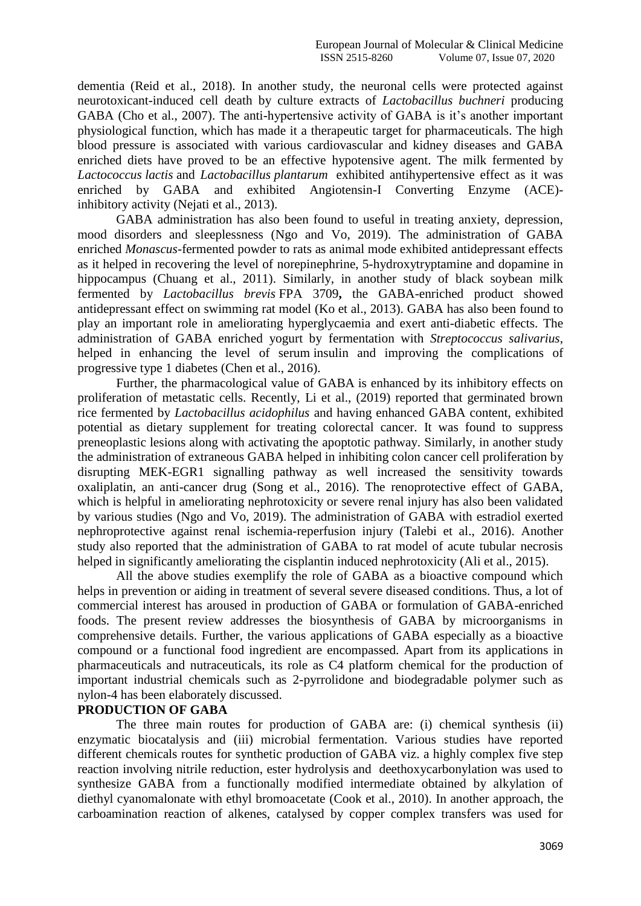dementia (Reid et al., 2018). In another study, the neuronal cells were protected against neurotoxicant-induced cell death by culture extracts of *Lactobacillus buchneri* producing GABA (Cho et al., 2007). The anti-hypertensive activity of GABA is it's another important physiological function, which has made it a therapeutic target for pharmaceuticals. The high blood pressure is associated with various cardiovascular and kidney diseases and GABA enriched diets have proved to be an effective hypotensive agent. The milk fermented by *[Lactococcus](https://www.sciencedirect.com/topics/food-science/lactococcus) lactis* and *[Lactobacillus](https://www.sciencedirect.com/topics/food-science/lactobacillus) plantarum* exhibited antihypertensive effect as it was enriched by GABA and exhibited Angiotensin-I Converting Enzyme (ACE) inhibitory activity (Nejati et al., 2013).

GABA administration has also been found to useful in treating anxiety, depression, mood disorders and sleeplessness (Ngo and Vo, 2019). The administration of GABA enriched *Monascus*-fermented powder to rats as animal mode exhibited antidepressant effects as it helped in recovering the level of norepinephrine, 5-hydroxytryptamine and dopamine in hippocampus (Chuang et al., 2011). Similarly, in another study of black soybean milk fermented by *Lactobacillus brevis* FPA 3709**,** the GABA-enriched product showed antidepressant effect on swimming rat model (Ko et al., 2013). GABA has also been found to play an important role in ameliorating hyperglycaemia and exert anti-diabetic effects. The administration of GABA enriched yogurt by fermentation with *Streptococcus salivarius*, helped in enhancing the level of serum [insulin](https://www.sciencedirect.com/topics/chemistry/insulin-derivative) and improving the complications of progressive type 1 diabetes (Chen et al., 2016).

Further, the pharmacological value of GABA is enhanced by its inhibitory effects on proliferation of metastatic cells. Recently, Li et al., (2019) reported that germinated brown rice fermented by *Lactobacillus acidophilus* and having enhanced GABA content, exhibited potential as dietary supplement for treating colorectal cancer. It was found to suppress preneoplastic lesions along with activating the apoptotic pathway. Similarly, in another study the administration of extraneous GABA helped in inhibiting colon cancer cell proliferation by disrupting MEK-EGR1 signalling pathway as well increased the sensitivity towards oxaliplatin, an anti-cancer drug (Song et al., 2016). The renoprotective effect of GABA, which is helpful in ameliorating nephrotoxicity or severe renal injury has also been validated by various studies (Ngo and Vo, 2019). The administration of GABA with estradiol exerted nephroprotective against renal ischemia-reperfusion injury (Talebi et al., 2016). Another study also reported that the administration of GABA to rat model of acute tubular necrosis helped in significantly ameliorating the cisplantin induced nephrotoxicity (Ali et al., 2015).

All the above studies exemplify the role of GABA as a bioactive compound which helps in prevention or aiding in treatment of several severe diseased conditions. Thus, a lot of commercial interest has aroused in production of GABA or formulation of GABA-enriched foods. The present review addresses the biosynthesis of GABA by microorganisms in comprehensive details. Further, the various applications of GABA especially as a bioactive compound or a functional food ingredient are encompassed. Apart from its applications in pharmaceuticals and nutraceuticals, its role as C4 platform chemical for the production of important industrial chemicals such as 2-pyrrolidone and biodegradable polymer such as nylon-4 has been elaborately discussed.

#### **PRODUCTION OF GABA**

The three main routes for production of GABA are: (i) chemical synthesis (ii) enzymatic biocatalysis and (iii) microbial fermentation. Various studies have reported different chemicals routes for synthetic production of GABA viz. a highly complex five step reaction involving nitrile reduction, ester hydrolysis and deethoxycarbonylation was used to synthesize GABA from a functionally modified intermediate obtained by alkylation of diethyl cyanomalonate with ethyl bromoacetate (Cook et al., 2010). In another approach, the carboamination reaction of alkenes, catalysed by copper complex transfers was used for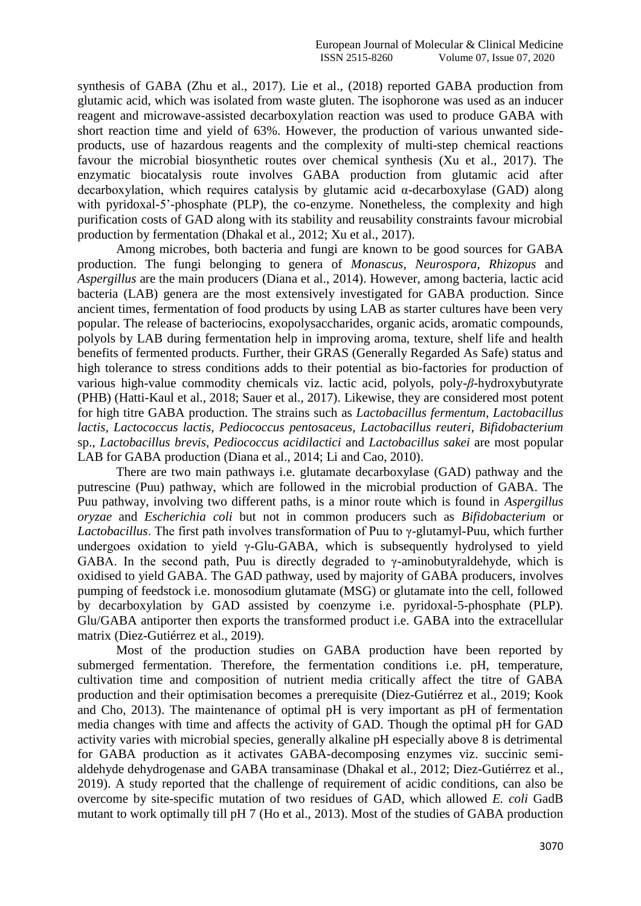synthesis of GABA (Zhu et al., 2017). Lie et al., (2018) reported GABA production from glutamic acid, which was isolated from waste gluten. The isophorone was used as an inducer reagent and microwave-assisted decarboxylation reaction was used to produce GABA with short reaction time and yield of 63%. However, the production of various unwanted sideproducts, use of hazardous reagents and the complexity of multi-step chemical reactions favour the microbial biosynthetic routes over chemical synthesis (Xu et al., 2017). The enzymatic biocatalysis route involves GABA production from glutamic acid after decarboxylation, which requires catalysis by glutamic acid α-decarboxylase (GAD) along with pyridoxal-5'-phosphate (PLP), the co-enzyme. Nonetheless, the complexity and high purification costs of GAD along with its stability and reusability constraints favour microbial production by fermentation (Dhakal et al., 2012; Xu et al., 2017).

Among microbes, both bacteria and fungi are known to be good sources for GABA production. The fungi belonging to genera of *Monascus*, *Neurospora, Rhizopus* and *Aspergillus* are the main producers (Diana et al., 2014). However, among bacteria, lactic acid bacteria (LAB) genera are the most extensively investigated for GABA production. Since ancient times, fermentation of food products by using LAB as starter cultures have been very popular. The release of bacteriocins, exopolysaccharides, organic acids, aromatic compounds, polyols by LAB during fermentation help in improving aroma, texture, shelf life and health benefits of fermented products. Further, their GRAS (Generally Regarded As Safe) status and high tolerance to stress conditions adds to their potential as bio-factories for production of various high-value commodity chemicals viz. lactic acid, polyols, poly-*β*-hydroxybutyrate (PHB) (Hatti-Kaul et al., 2018; Sauer et al., 2017). Likewise, they are considered most potent for high titre GABA production. The strains such as *Lactobacillus fermentum, Lactobacillus lactis, Lactococcus lactis, Pediococcus pentosaceus, Lactobacillus reuteri, Bifidobacterium*  sp., *Lactobacillus brevis, Pediococcus acidilactici* and *Lactobacillus sakei* are most popular LAB for GABA production (Diana et al., 2014; Li and Cao, 2010).

There are two main pathways i.e. glutamate decarboxylase (GAD) pathway and the putrescine (Puu) pathway, which are followed in the microbial production of GABA. The Puu pathway, involving two different paths, is a minor route which is found in *Aspergillus oryzae* and *Escherichia coli* but not in common producers such as *Bifidobacterium* or *Lactobacillus*. The first path involves transformation of Puu to γ-glutamyl-Puu, which further undergoes oxidation to yield  $\gamma$ -Glu-GABA, which is subsequently hydrolysed to yield GABA. In the second path, Puu is directly degraded to  $\gamma$ -aminobutyraldehyde, which is oxidised to yield GABA. The GAD pathway, used by majority of GABA producers, involves pumping of feedstock i.e. monosodium glutamate (MSG) or glutamate into the cell, followed by decarboxylation by GAD assisted by coenzyme i.e. pyridoxal-5-phosphate (PLP). Glu/GABA antiporter then exports the transformed product i.e. GABA into the extracellular matrix (Diez-Gutiérrez et al., 2019).

Most of the production studies on GABA production have been reported by submerged fermentation. Therefore, the fermentation conditions i.e. pH, temperature, cultivation time and composition of nutrient media critically affect the titre of GABA production and their optimisation becomes a prerequisite (Diez-Gutiérrez et al., 2019; Kook and Cho, 2013). The maintenance of optimal pH is very important as pH of fermentation media changes with time and affects the activity of GAD. Though the optimal pH for GAD activity varies with microbial species, generally alkaline pH especially above 8 is detrimental for GABA production as it activates GABA-decomposing enzymes viz. succinic semialdehyde dehydrogenase and GABA transaminase (Dhakal et al., 2012; Diez-Gutiérrez et al., 2019). A study reported that the challenge of requirement of acidic conditions, can also be overcome by site-specific mutation of two residues of GAD, which allowed *E. coli* GadB mutant to work optimally till pH 7 (Ho et al., 2013). Most of the studies of GABA production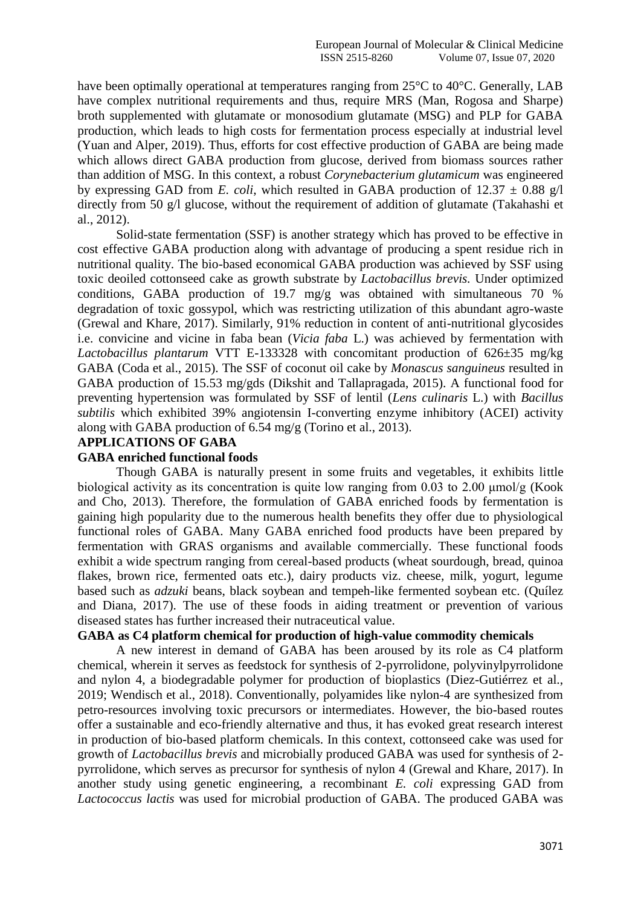have been optimally operational at temperatures ranging from 25<sup>o</sup>C to 40<sup>o</sup>C. Generally, LAB have complex nutritional requirements and thus, require MRS (Man, Rogosa and Sharpe) broth supplemented with glutamate or monosodium glutamate (MSG) and PLP for GABA production, which leads to high costs for fermentation process especially at industrial level (Yuan and Alper, 2019). Thus, efforts for cost effective production of GABA are being made which allows direct GABA production from glucose, derived from biomass sources rather than addition of MSG. In this context, a robust *Corynebacterium glutamicum* was engineered by expressing GAD from *E. coli*, which resulted in GABA production of  $12.37 \pm 0.88$  g/l directly from 50 g/l glucose, without the requirement of addition of glutamate (Takahashi et al., 2012).

Solid-state fermentation (SSF) is another strategy which has proved to be effective in cost effective GABA production along with advantage of producing a spent residue rich in nutritional quality. The bio-based economical GABA production was achieved by SSF using toxic deoiled cottonseed cake as growth substrate by *Lactobacillus brevis.* Under optimized conditions*,* GABA production of 19.7 mg/g was obtained with simultaneous 70 % degradation of toxic gossypol, which was restricting utilization of this abundant agro-waste (Grewal and Khare, 2017). Similarly, 91% reduction in content of anti-nutritional glycosides i.e. convicine and vicine in faba bean (*Vicia faba* L.) was achieved by fermentation with *Lactobacillus plantarum* VTT E-133328 with concomitant production of 626±35 mg/kg GABA (Coda et al., 2015). The SSF of coconut oil cake by *Monascus sanguineus* resulted in GABA production of 15.53 mg/gds (Dikshit and Tallapragada, 2015). A functional food for preventing hypertension was formulated by SSF of lentil (*Lens culinaris* L.) with *Bacillus subtilis* which exhibited 39% angiotensin I-converting enzyme inhibitory (ACEI) activity along with GABA production of 6.54 mg/g (Torino et al., 2013).

#### **APPLICATIONS OF GABA**

# **GABA enriched functional foods**

Though GABA is naturally present in some fruits and vegetables, it exhibits little biological activity as its concentration is quite low ranging from 0.03 to 2.00 μmol/g (Kook and Cho, 2013). Therefore, the formulation of GABA enriched foods by fermentation is gaining high popularity due to the numerous health benefits they offer due to physiological functional roles of GABA. Many GABA enriched food products have been prepared by fermentation with GRAS organisms and available commercially. These functional foods exhibit a wide spectrum ranging from cereal-based products (wheat sourdough, bread, quinoa flakes, brown rice, fermented oats etc.), dairy products viz. cheese, milk, yogurt, legume based such as *adzuki* beans, black soybean and tempeh-like fermented soybean etc. (Quílez and Diana, 2017). The use of these foods in aiding treatment or prevention of various diseased states has further increased their nutraceutical value.

# **GABA as C4 platform chemical for production of high-value commodity chemicals**

A new interest in demand of GABA has been aroused by its role as C4 platform chemical, wherein it serves as feedstock for synthesis of 2-pyrrolidone, polyvinylpyrrolidone and nylon 4, a biodegradable polymer for production of bioplastics (Diez-Gutiérrez et al., 2019; Wendisch et al., 2018). Conventionally, polyamides like nylon-4 are synthesized from petro-resources involving toxic precursors or intermediates. However, the bio-based routes offer a sustainable and eco-friendly alternative and thus, it has evoked great research interest in production of bio-based platform chemicals. In this context, cottonseed cake was used for growth of *Lactobacillus brevis* and microbially produced GABA was used for synthesis of 2 pyrrolidone, which serves as precursor for synthesis of nylon 4 (Grewal and Khare, 2017). In another study using genetic engineering, a recombinant *E. coli* expressing GAD from *Lactococcus lactis* was used for microbial production of GABA. The produced GABA was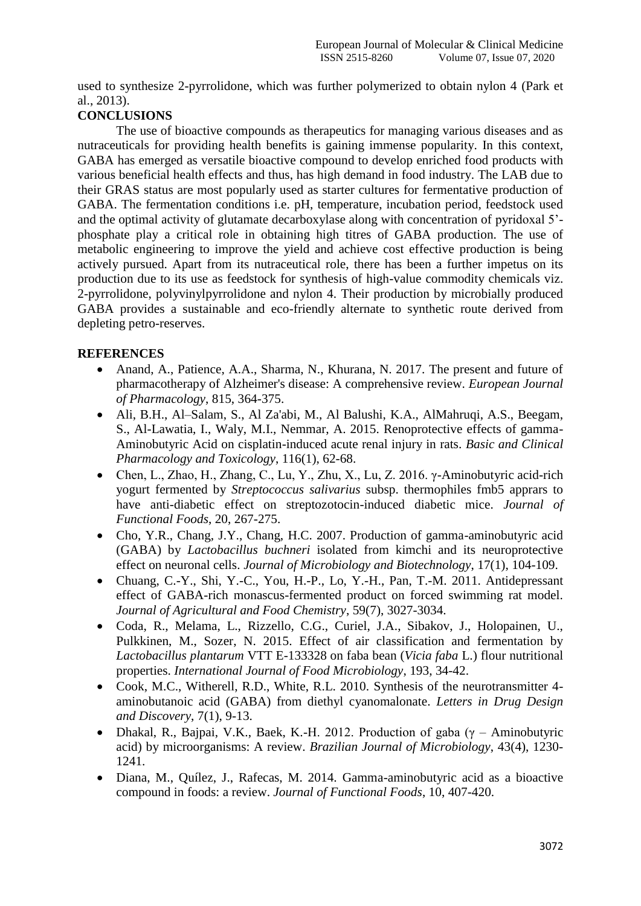used to synthesize 2-pyrrolidone, which was further polymerized to obtain nylon 4 (Park et al., 2013).

# **CONCLUSIONS**

The use of bioactive compounds as therapeutics for managing various diseases and as nutraceuticals for providing health benefits is gaining immense popularity. In this context, GABA has emerged as versatile bioactive compound to develop enriched food products with various beneficial health effects and thus, has high demand in food industry. The LAB due to their GRAS status are most popularly used as starter cultures for fermentative production of GABA. The fermentation conditions i.e. pH, temperature, incubation period, feedstock used and the optimal activity of glutamate decarboxylase along with concentration of pyridoxal 5' phosphate play a critical role in obtaining high titres of GABA production. The use of metabolic engineering to improve the yield and achieve cost effective production is being actively pursued. Apart from its nutraceutical role, there has been a further impetus on its production due to its use as feedstock for synthesis of high-value commodity chemicals viz. 2-pyrrolidone, polyvinylpyrrolidone and nylon 4. Their production by microbially produced GABA provides a sustainable and eco-friendly alternate to synthetic route derived from depleting petro-reserves.

# **REFERENCES**

- Anand, A., Patience, A.A., Sharma, N., Khurana, N. 2017. The present and future of pharmacotherapy of Alzheimer's disease: A comprehensive review. *European Journal of Pharmacology*, 815, 364-375.
- Ali, B.H., Al–Salam, S., Al Za'abi, M., Al Balushi, K.A., AlMahruqi, A.S., Beegam, S., Al-Lawatia, I., Waly, M.I., Nemmar, A. 2015. Renoprotective effects of gamma-Aminobutyric Acid on cisplatin-induced acute renal injury in rats. *Basic and Clinical Pharmacology and Toxicology*, 116(1), 62-68.
- Chen, L., Zhao, H., Zhang, C., Lu, Y., Zhu, X., Lu, Z. 2016. γ-Aminobutyric acid-rich yogurt fermented by *Streptococcus salivarius* subsp. thermophiles fmb5 apprars to have anti-diabetic effect on streptozotocin-induced diabetic mice. *Journal of Functional Foods*, 20, 267-275.
- Cho, Y.R., Chang, J.Y., Chang, H.C. 2007. Production of gamma-aminobutyric acid (GABA) by *Lactobacillus buchneri* isolated from kimchi and its neuroprotective effect on neuronal cells. *Journal of Microbiology and Biotechnology*, 17(1), 104-109.
- Chuang, C.-Y., Shi, Y.-C., You, H.-P., Lo, Y.-H., Pan, T.-M. 2011. Antidepressant effect of GABA-rich monascus-fermented product on forced swimming rat model. *Journal of Agricultural and Food Chemistry*, 59(7), 3027-3034.
- Coda, R., Melama, L., Rizzello, C.G., Curiel, J.A., Sibakov, J., Holopainen, U., Pulkkinen, M., Sozer, N. 2015. Effect of air classification and fermentation by *Lactobacillus plantarum* VTT E-133328 on faba bean (*Vicia faba* L.) flour nutritional properties. *International Journal of Food Microbiology*, 193, 34-42.
- Cook, M.C., Witherell, R.D., White, R.L. 2010. Synthesis of the neurotransmitter 4aminobutanoic acid (GABA) from diethyl cyanomalonate. *Letters in Drug Design and Discovery*, 7(1), 9-13.
- Dhakal, R., Bajpai, V.K., Baek, K.-H. 2012. Production of gaba ( $\gamma$  Aminobutyric acid) by microorganisms: A review. *Brazilian Journal of Microbiology*, 43(4), 1230- 1241.
- Diana, M., Quílez, J., Rafecas, M. 2014. Gamma-aminobutyric acid as a bioactive compound in foods: a review. *Journal of Functional Foods*, 10, 407-420.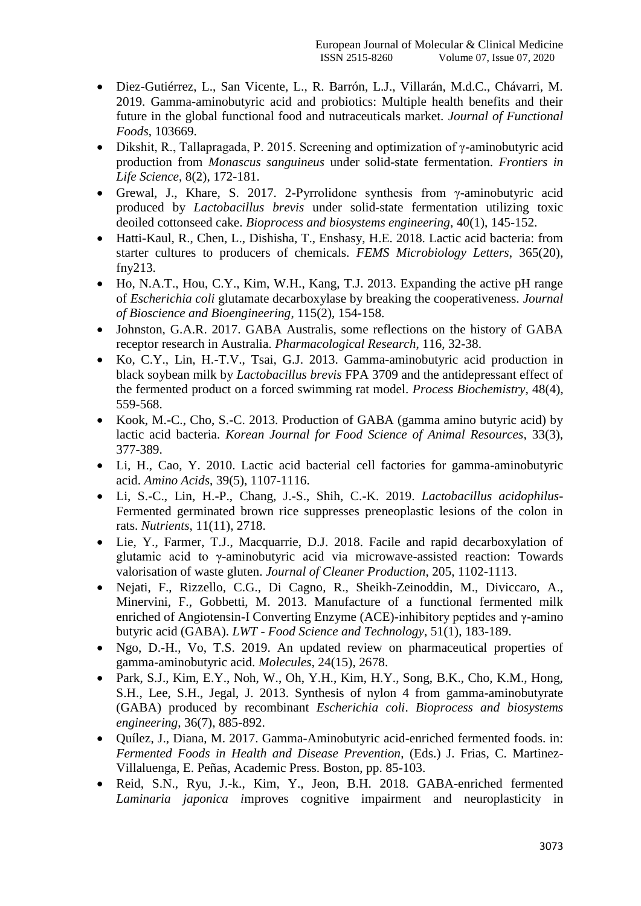- Diez-Gutiérrez, L., San Vicente, L., R. Barrón, L.J., Villarán, M.d.C., Chávarri, M. 2019. Gamma-aminobutyric acid and probiotics: Multiple health benefits and their future in the global functional food and nutraceuticals market. *Journal of Functional Foods*, 103669.
- Dikshit, R., Tallapragada, P. 2015. Screening and optimization of  $\gamma$ -aminobutyric acid production from *Monascus sanguineus* under solid-state fermentation. *Frontiers in Life Science*, 8(2), 172-181.
- Grewal, J., Khare, S. 2017. 2-Pyrrolidone synthesis from  $\gamma$ -aminobutyric acid produced by *Lactobacillus brevis* under solid-state fermentation utilizing toxic deoiled cottonseed cake. *Bioprocess and biosystems engineering*, 40(1), 145-152.
- Hatti-Kaul, R., Chen, L., Dishisha, T., Enshasy, H.E. 2018. Lactic acid bacteria: from starter cultures to producers of chemicals. *FEMS Microbiology Letters*, 365(20), fny213.
- Ho, N.A.T., Hou, C.Y., Kim, W.H., Kang, T.J. 2013. Expanding the active pH range of *Escherichia coli* glutamate decarboxylase by breaking the cooperativeness. *Journal of Bioscience and Bioengineering*, 115(2), 154-158.
- Johnston, G.A.R. 2017. GABA Australis, some reflections on the history of GABA receptor research in Australia. *Pharmacological Research*, 116, 32-38.
- Ko, C.Y., Lin, H.-T.V., Tsai, G.J. 2013. Gamma-aminobutyric acid production in black soybean milk by *Lactobacillus brevis* FPA 3709 and the antidepressant effect of the fermented product on a forced swimming rat model. *Process Biochemistry*, 48(4), 559-568.
- Kook, M.-C., Cho, S.-C. 2013. Production of GABA (gamma amino butyric acid) by lactic acid bacteria. *Korean Journal for Food Science of Animal Resources*, 33(3), 377-389.
- Li, H., Cao, Y. 2010. Lactic acid bacterial cell factories for gamma-aminobutyric acid. *Amino Acids*, 39(5), 1107-1116.
- Li, S.-C., Lin, H.-P., Chang, J.-S., Shih, C.-K. 2019. *Lactobacillus acidophilus*-Fermented germinated brown rice suppresses preneoplastic lesions of the colon in rats. *Nutrients*, 11(11), 2718.
- Lie, Y., Farmer, T.J., Macquarrie, D.J. 2018. Facile and rapid decarboxylation of glutamic acid to γ-aminobutyric acid via microwave-assisted reaction: Towards valorisation of waste gluten. *Journal of Cleaner Production*, 205, 1102-1113.
- Nejati, F., Rizzello, C.G., Di Cagno, R., Sheikh-Zeinoddin, M., Diviccaro, A., Minervini, F., Gobbetti, M. 2013. Manufacture of a functional fermented milk enriched of Angiotensin-I Converting Enzyme (ACE)-inhibitory peptides and γ-amino butyric acid (GABA). *LWT - Food Science and Technology*, 51(1), 183-189.
- Ngo, D.-H., Vo, T.S. 2019. An updated review on pharmaceutical properties of gamma-aminobutyric acid. *Molecules*, 24(15), 2678.
- Park, S.J., Kim, E.Y., Noh, W., Oh, Y.H., Kim, H.Y., Song, B.K., Cho, K.M., Hong, S.H., Lee, S.H., Jegal, J. 2013. Synthesis of nylon 4 from gamma-aminobutyrate (GABA) produced by recombinant *Escherichia coli*. *Bioprocess and biosystems engineering*, 36(7), 885-892.
- Quílez, J., Diana, M. 2017. Gamma-Aminobutyric acid-enriched fermented foods. in: *Fermented Foods in Health and Disease Prevention*, (Eds.) J. Frias, C. Martinez-Villaluenga, E. Peñas, Academic Press. Boston, pp. 85-103.
- Reid, S.N., Ryu, J.-k., Kim, Y., Jeon, B.H. 2018. GABA-enriched fermented *Laminaria japonica i*mproves cognitive impairment and neuroplasticity in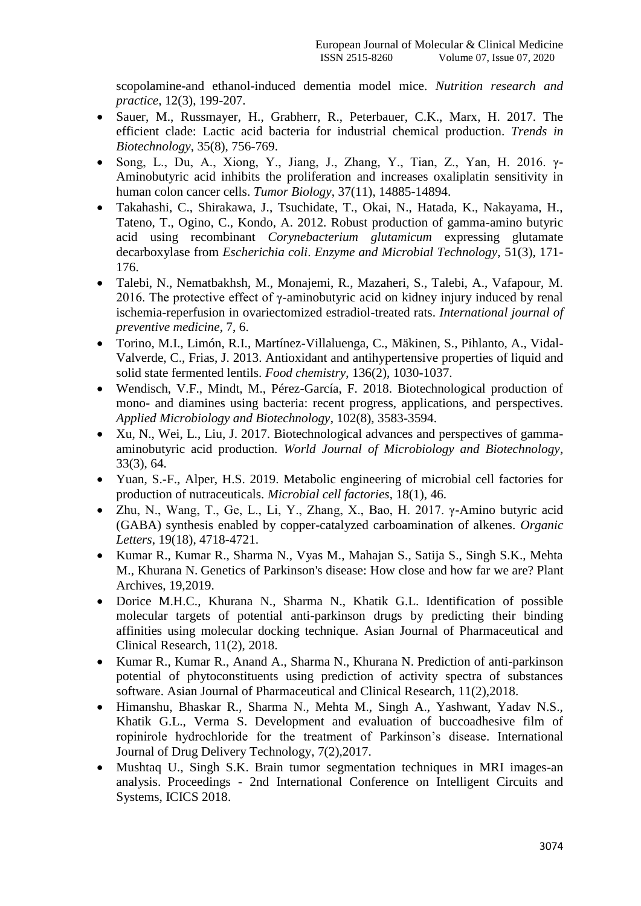scopolamine-and ethanol-induced dementia model mice. *Nutrition research and practice*, 12(3), 199-207.

- Sauer, M., Russmayer, H., Grabherr, R., Peterbauer, C.K., Marx, H. 2017. The efficient clade: Lactic acid bacteria for industrial chemical production. *Trends in Biotechnology*, 35(8), 756-769.
- Song, L., Du, A., Xiong, Y., Jiang, J., Zhang, Y., Tian, Z., Yan, H. 2016.  $\gamma$ -Aminobutyric acid inhibits the proliferation and increases oxaliplatin sensitivity in human colon cancer cells. *Tumor Biology*, 37(11), 14885-14894.
- Takahashi, C., Shirakawa, J., Tsuchidate, T., Okai, N., Hatada, K., Nakayama, H., Tateno, T., Ogino, C., Kondo, A. 2012. Robust production of gamma-amino butyric acid using recombinant *Corynebacterium glutamicum* expressing glutamate decarboxylase from *Escherichia coli*. *Enzyme and Microbial Technology*, 51(3), 171- 176.
- Talebi, N., Nematbakhsh, M., Monajemi, R., Mazaheri, S., Talebi, A., Vafapour, M. 2016. The protective effect of  $\gamma$ -aminobutyric acid on kidney injury induced by renal ischemia-reperfusion in ovariectomized estradiol-treated rats. *International journal of preventive medicine*, 7, 6.
- Torino, M.I., Limón, R.I., Martínez-Villaluenga, C., Mäkinen, S., Pihlanto, A., Vidal-Valverde, C., Frias, J. 2013. Antioxidant and antihypertensive properties of liquid and solid state fermented lentils. *Food chemistry*, 136(2), 1030-1037.
- Wendisch, V.F., Mindt, M., Pérez-García, F. 2018. Biotechnological production of mono- and diamines using bacteria: recent progress, applications, and perspectives. *Applied Microbiology and Biotechnology*, 102(8), 3583-3594.
- Xu, N., Wei, L., Liu, J. 2017. Biotechnological advances and perspectives of gammaaminobutyric acid production. *World Journal of Microbiology and Biotechnology*, 33(3), 64.
- Yuan, S.-F., Alper, H.S. 2019. Metabolic engineering of microbial cell factories for production of nutraceuticals. *Microbial cell factories*, 18(1), 46.
- Zhu, N., Wang, T., Ge, L., Li, Y., Zhang, X., Bao, H. 2017. γ-Amino butyric acid (GABA) synthesis enabled by copper-catalyzed carboamination of alkenes. *Organic Letters*, 19(18), 4718-4721.
- Kumar R., Kumar R., Sharma N., Vyas M., Mahajan S., Satija S., Singh S.K., Mehta M., Khurana N. Genetics of Parkinson's disease: How close and how far we are? Plant Archives, 19,2019.
- Dorice M.H.C., Khurana N., Sharma N., Khatik G.L. Identification of possible molecular targets of potential anti-parkinson drugs by predicting their binding affinities using molecular docking technique. Asian Journal of Pharmaceutical and Clinical Research, 11(2), 2018.
- Kumar R., Kumar R., Anand A., Sharma N., Khurana N. Prediction of anti-parkinson potential of phytoconstituents using prediction of activity spectra of substances software. Asian Journal of Pharmaceutical and Clinical Research, 11(2),2018.
- Himanshu, Bhaskar R., Sharma N., Mehta M., Singh A., Yashwant, Yadav N.S., Khatik G.L., Verma S. Development and evaluation of buccoadhesive film of ropinirole hydrochloride for the treatment of Parkinson's disease. International Journal of Drug Delivery Technology, 7(2),2017.
- Mushtaq U., Singh S.K. Brain tumor segmentation techniques in MRI images-an analysis. Proceedings - 2nd International Conference on Intelligent Circuits and Systems, ICICS 2018.